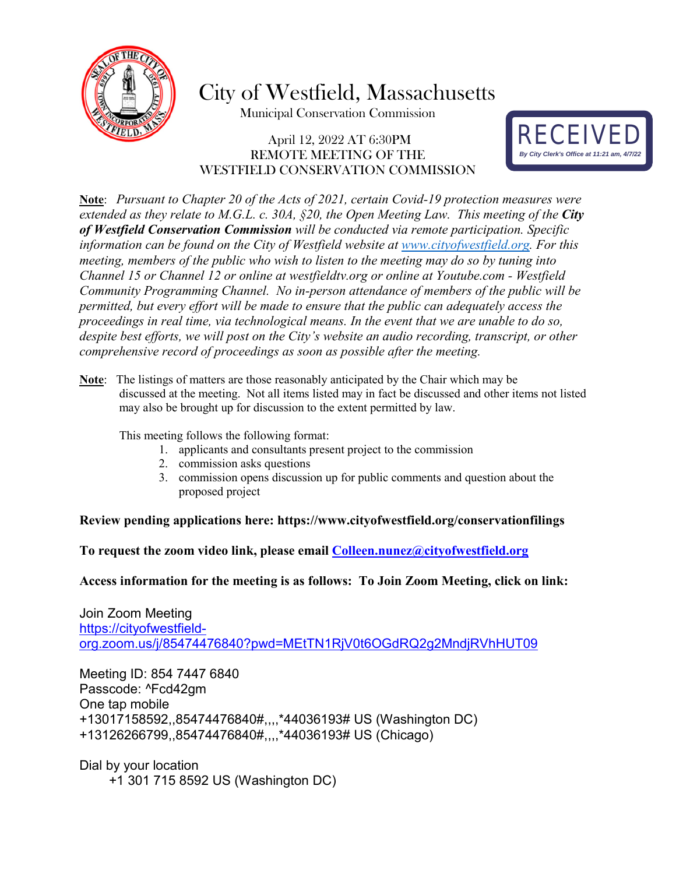

City of Westfield, Massachusetts

Municipal Conservation Commission

#### April 12, 2022 AT 6:30PM REMOTE MEETING OF THE WESTFIELD CONSERVATION COMMISSION



**Note**: *Pursuant to Chapter 20 of the Acts of 2021, certain Covid-19 protection measures were extended as they relate to M.G.L. c. 30A, §20, the Open Meeting Law. This meeting of the City of Westfield Conservation Commission will be conducted via remote participation. Specific information can be found on the City of Westfield website at [www.cityofwestfield.org.](http://www.cityofwestfield.org/) For this meeting, members of the public who wish to listen to the meeting may do so by tuning into Channel 15 or Channel 12 or online at westfieldtv.org or online at Youtube.com - Westfield Community Programming Channel. No in-person attendance of members of the public will be permitted, but every effort will be made to ensure that the public can adequately access the proceedings in real time, via technological means. In the event that we are unable to do so, despite best efforts, we will post on the City's website an audio recording, transcript, or other comprehensive record of proceedings as soon as possible after the meeting.* 

**Note**: The listings of matters are those reasonably anticipated by the Chair which may be discussed at the meeting. Not all items listed may in fact be discussed and other items not listed may also be brought up for discussion to the extent permitted by law.

This meeting follows the following format:

- 1. applicants and consultants present project to the commission
- 2. commission asks questions
- 3. commission opens discussion up for public comments and question about the proposed project

#### **Review pending applications here:<https://www.cityofwestfield.org/conservationfilings>**

**To request the zoom video link, please email [Colleen.nunez@cityo](mailto:Meredith.borenstein@cityofwestfield.org)fwestfield.org** 

**Access information for the meeting is as follows: To Join Zoom Meeting, click on link:** 

Join Zoom Meeting [https://cityofwestfield](https://cityofwestfield-org.zoom.us/j/85474476840?pwd=MEtTN1RjV0t6OGdRQ2g2MndjRVhHUT09)[org.zoom.us/j/85474476840?pwd=MEtTN1RjV0t6OGdRQ2g2MndjRVhHUT09](https://cityofwestfield-org.zoom.us/j/85474476840?pwd=MEtTN1RjV0t6OGdRQ2g2MndjRVhHUT09)

Meeting ID: 854 7447 6840 Passcode: ^Fcd42gm One tap mobile +13017158592,,85474476840#,,,,\*44036193# US (Washington DC) +13126266799,,85474476840#,,,,\*44036193# US (Chicago)

Dial by your location +1 301 715 8592 US (Washington DC)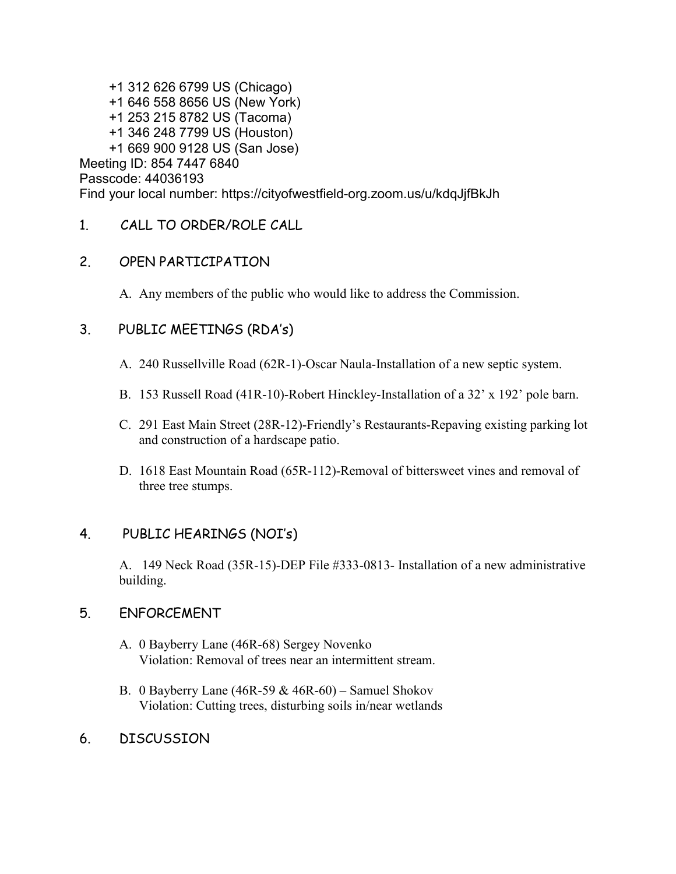+1 312 626 6799 US (Chicago) +1 646 558 8656 US (New York) +1 253 215 8782 US (Tacoma) +1 346 248 7799 US (Houston) +1 669 900 9128 US (San Jose) Meeting ID: 854 7447 6840 Passcode: 44036193 Find your local number: https://cityofwestfield-org.zoom.us/u/kdqJjfBkJh

1. CALL TO ORDER/ROLE CALL

## 2. OPEN PARTICIPATION

A. Any members of the public who would like to address the Commission.

## 3. PUBLIC MEETINGS (RDA's)

- A. 240 Russellville Road (62R-1)-Oscar Naula-Installation of a new septic system.
- B. 153 Russell Road (41R-10)-Robert Hinckley-Installation of a 32' x 192' pole barn.
- C. 291 East Main Street (28R-12)-Friendly's Restaurants-Repaving existing parking lot and construction of a hardscape patio.
- D. 1618 East Mountain Road (65R-112)-Removal of bittersweet vines and removal of three tree stumps.

# 4. PUBLIC HEARINGS (NOI's)

A. 149 Neck Road (35R-15)-DEP File #333-0813- Installation of a new administrative building.

### 5. ENFORCEMENT

- A. 0 Bayberry Lane (46R-68) Sergey Novenko Violation: Removal of trees near an intermittent stream.
- B. 0 Bayberry Lane  $(46R-59 \& 46R-60)$  Samuel Shokov Violation: Cutting trees, disturbing soils in/near wetlands
- 6. DISCUSSION